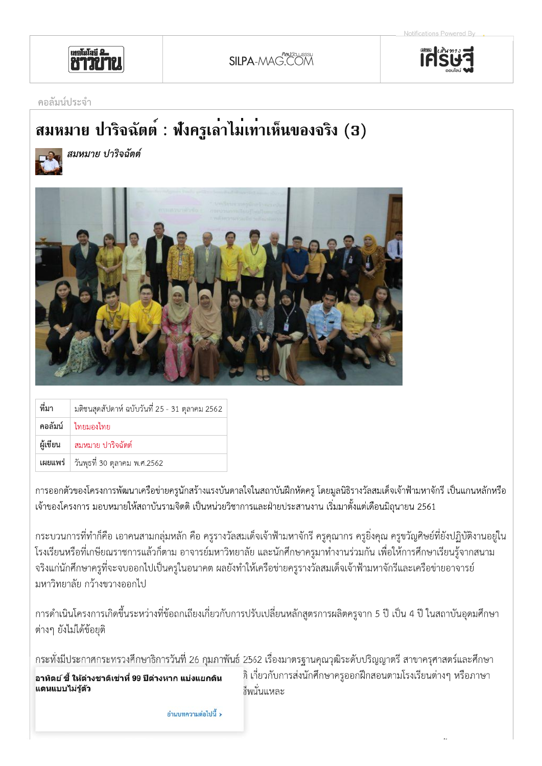



## คอลัมน์ประจำ

## สมหมาย ปาริจฉัตต์ : ฟังครูเลาไม่เท่าเห็นของจริง (3)



สมหมาย ปาริจฉัตต์



| ที่มา    | มติชนสุดสัปดาห์ ฉบับวันที่ 25 - 31 ตุลาคม 2562 |
|----------|------------------------------------------------|
|          | คอลัมน์   ไทยมองไทย                            |
| ผู้เขียน | ิ สมหมาย ปาริจฉัตต์                            |
|          | เผยแพร่   วันพุธที่ 30 ตุลาคม พ.ศ.2562         |

การออกตัวของโครงการพัฒนาเครือข่ายครูนักสร้างแรงบันดาลใจในสถาบันฝึกหัดครู โดยมูลนิธิรางวัลสมเด็จเจ้าฟ้ามหาจักรี เป็นแกนหลักหรือ ้ เจ้าของโครงการ มอบหมายให้สถาบันรามจิตติ เป็นหน่วยวิชาการและฝ่ายประสานงาน เริ่มมาตั้งแต่เดือนมิถุนายน 2561

่ กระบวนการที่ทำก็คือ เอาคนสามกลุ่มหลัก คือ ครูรางวัลสมเด็จเจ้าฟ้ามหาจักรี ครูคุณากร ครูยิ่งคุณ ครูขวัญศิษย์ที่ยังปฏิบัติงานอยู่ใน โรงเรียนหรือที่เกษียณราชการแล้วก็ตาม อาจารย์มหาวิทยาลัย และนักศึกษาครูมาทำงานร่วมกัน เพื่อให้การศึกษาเรียนรู้จากสนาม ้จริงแก่นักศึกษาครูที่จะจบออกไปเป็นครูในอนาคต ผลยังทำให้เครือข่ายครูรางวัลสมเด็จเจ้าฟ้ามหาจักรีและเครือข่ายอาจารย์ ้มหาวิทยาลัย กว้างขวางออกไป

่ การดำเนินโครงการเกิดขึ้นระหว่างที่ข้อถกเถียงเกี่ยวกับการปรับเปลี่ยนหลักสูตรการผลิตครูจาก 5 ปี เป็น 4 ปี ในสถาบันอุดมศึกษา ้ต่างๆ ยังไม่ได้ข้อยุติ

้กระทั่งมีประกาศกระทรวงศึกษาธิการวันที่ 26 กุมภาพันธ์ 2562 เรื่องมาตรฐานคุณวุฒิระดับปริญญาตรี สาขาครุศาสตร์และศึกษา

อาทิตย์ ชี้ ให้ต่างชาติเช่าที่ 99 ปีต่างหาก แบ่งแยกดิน แดนแบบไม่รู้ตัว

ติ เกี่ยวกับการส่งนักศึกษาครูออกฝึกสอนตามโรงเรียนต่างๆ หรือภาษา ชื่พนั่นแหละ

อ่านบทความต่อไปนี้ >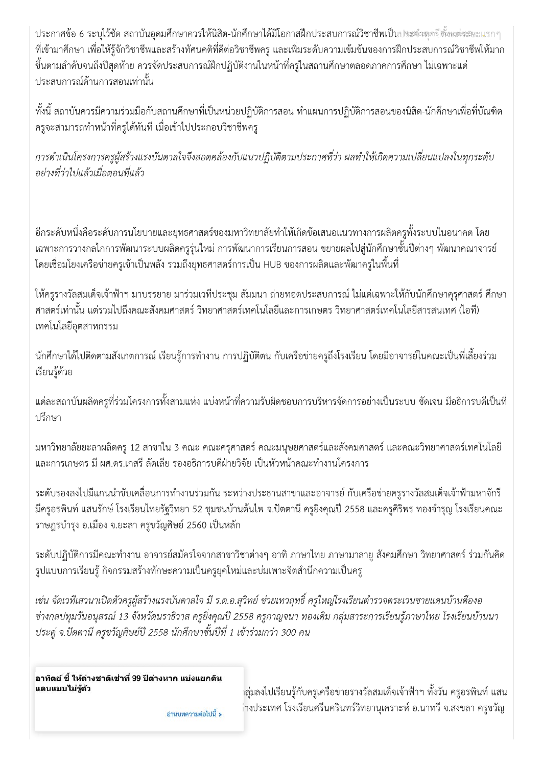ประกาศข้อ 6 ระบุไว้ชัด สถาบันอุดมศึกษาควรให้นิสิต-นักศึกษาได้มีโอกาสฝึกประสบการณ์วิชาชีพเป็นประจำพุดปีตั้งแต่ระยะแรกๆ ้ที่เข้ามาศึกษา เพื่อให้รู้จักวิชาชีพและสร้างทัศนคติที่ดีต่อวิชาชีพครู และเพิ่มระดับความเข้มข้นของการฝึกประสบการณ์วิชาชีพให้มาก ์ ขึ้นตามลำดับจนถึงปีสุดท้าย ควรจัดประสบการณ์ฝึกปฏิบัติงานในหน้าที่ครูในสถานศึกษาตลอดภาคการศึกษา ไม่เฉพาะแต่ ประสบการณ์ด้านการสอนเท่านั้น

ทั้งนี้ สถาบันควรมีความร่วมมือกับสถานศึกษาที่เป็นหน่วยปฏิบัติการสอน ทำแผนการปฏิบัติการสอนของนิสิต-นักศึกษาเพื่อที่บัณฑิต ้ครูจะสามารถทำหน้าที่ครูได้ทันที เมื่อเข้าไปประกอบวิชาชีพครู

การดำเนินโครงการครผู้สร้างแรงบันดาลใจจึงสอดคล้องกับแนวปฏิบัติตามประกาศที่ว่า ผลทำให้เกิดความเปลี่ยนแปลงในทกระดับ อย่างที่ว่าไปแล้วเมื่อตอนที่แล้ว

้อีกระดับหนึ่งคือระดับการนโยบายและยุทธศาสตร์ของมหาวิทยาลัยทำให้เกิดข้อเสนอแนวทางการผลิตครูทั้งระบบในอนาคต โดย ้ เฉพาะการวางกลไกการพัฒนาระบบผลิตครูรุ่นใหม่ การพัฒนาการเรียนการสอน ขยายผลไปสู่นักศึกษาชั้นปีต่างๆ พัฒนาคณาจารย์ ์ โดยเชื่อมโยงเครือข่ายครูเข้าเป็นพลัง รวมถึงยุทธศาสตร์การเป็น HUB ของการผลิตและพัฒาครูในพื้นที่

ให้ครูรางวัลสมเด็จเจ้าฟ้าฯ มาบรรยาย มาร่วมเวทีประชุม สัมมนา ถ่ายทอดประสบการณ์ ไม่แต่เฉพาะให้กับนักศึกษาคุรุศาสตร์ ศึกษา ิศาสตร์เท่านั้น แต่รวมไปถึงคณะสังคมศาสตร์ วิทยาศาสตร์เทคโนโลยีและการเกษตร วิทยาศาสตร์เทคโนโลยีสารสนเทศ (ไอที) เทคโนโลยีอุตสาหกรรม

้นักศึกษาได้ไปติดตามสังเกตการณ์ เรียนรู้การทำงาน การปฏิบัติตน กับเครือข่ายครูถึงโรงเรียน โดยมีอาจารย์ในคณะเป็นพี่เลี้ยงร่วม เรียนรู้ด้วย

แต่ละสถาบันผลิตครูที่ร่วมโครงการทั้งสามแห่ง แบ่งหน้าที่ความรับผิดชอบการบริหารจัดการอย่างเป็นระบบ ชัดเจน มีอธิการบดีเป็นที่ <u> เร็กพา</u>

้มหาวิทยาลัยยะลาผลิตครู 12 สาขาใน 3 คณะ คณะครุศาสตร์ คณะมนุษยศาสตร์และสังคมศาสตร์ และคณะวิทยาศาสตร์เทคโนโลยี และการเกษตร มี ผศ.ดร.เกสรี ลัดเลีย รองอธิการบดีฝ่ายวิจัย เป็นหัวหน้าคณะทำงานโครงการ

้ระดับรองลงไปมีแกนนำขับเคลื่อนการทำงานร่วมกัน ระหว่างประธานสาขาและอาจารย์ กับเครือข่ายครูรางวัลสมเด็จเจ้าฟ้ามหาจักรี ้มีครูอรพินท์ แสนรักษ์ โรงเรียนไทยรัฐวิทยา 52 ชุมชนบ้านต้นไพ จ.ปัตตานี ครูยิ่งคุณปี 2558 และครูศิริพร ทองจำรุญ โรงเรียนคณะ ราษฎรบำรุง อ.เมือง จ.ยะลา ครูขวัญศิษย์ 2560 เป็นหลัก

้ระดับปฏิบัติการมีคณะทำงาน อาจารย์สมัครใจจากสาขาวิชาต่างๆ อาทิ ภาษาไทย ภาษามาลายู สังคมศึกษา วิทยาศาสตร์ ร่วมกันคิด รูปแบบการเรียนรู้ กิจกรรมสร้างทักษะความเป็นครูยุคใหม่และบ่มเพาะจิตสำนึกความเป็นครู

เช่น จัดเวทีเสวนาเปิดตัวครูผู้สร้างแรงบันดาลใจ มี ร.ต.อ.สุวิทย์ ช่วยเทวฤทธิ์ ครูใหญ่โรงเรียนตำรวจตระเวนชายแดนบ้านตืองอ ช่างกลปทุมวันอนุสรณ์ 13 จังหวัดนราธิวาส ครูยิ่งคุณปี 2558 ครูกาญจนา ทองเดิม กลุ่มสาระการเรียนรู้ภาษาไทย โรงเรียนบ้านนา ี ประดู่ จ.ปัตตานี ครูขวัญศิษย์ปี 2558 นักศึกษาชั้นปีที่ 1 เข้าร่วมกว่า 300 คน

อาทิตย์ ชี้ ให้ต่างชาติเช่าที่ 99 ปีต่างหาก แบ่งแยกดิน แดนแบบไม่ร้ตัว

้าลุ่มลงไปเรียนรู้กับครูเครือข่ายรางวัลสมเด็จเจ้าฟ้าฯ ทั้งวัน ครูอรพินท์ แสน ่างประเทศ โรงเรียนศรีนครินทร์วิทยานุเคราะห์ อ.นาทวี จ.สงขลา ครูขวัญ

อ่านบทความต่อไปนี้ **>**